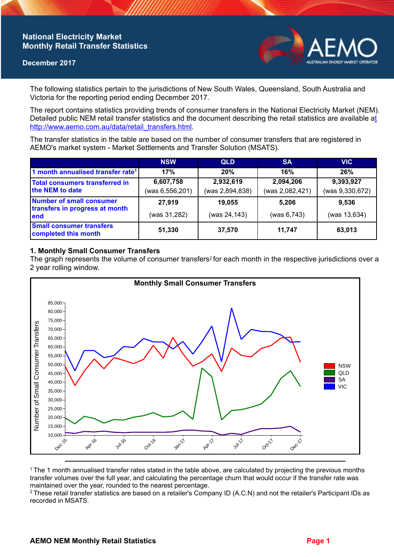# **National Electricity Market Monthly Retail Transfer Statistics**

### **December 2017**



The following statistics pertain to the jurisdictions of New South Wales, Queensland, South Australia and Victoria for the reporting period ending December 2017.

The report contains statistics providing trends of consumer transfers in the National Electricity Market (NEM). Detailed public NEM retail transfer statistics and the document describing the retail statistics are available a[t](http://www.aemo.com.au/data/retail_transfers.html)  http://www.aemo.com.au/data/retail\_transfers.html

The transfer statistics in the table are based on the number of consumer transfers that are registered in AEMO's market system - Market Settlements and Transfer Solution (MSATS).

|                                                                           | <b>NSW</b>        | <b>QLD</b>      | <b>SA</b>       | <b>VIC</b>      |
|---------------------------------------------------------------------------|-------------------|-----------------|-----------------|-----------------|
| 1 month annualised transfer rate <sup>1</sup>                             | 17%               | 20%             | 16%             | 26%             |
| Total consumers transferred in<br>the NEM to date                         | 6,607,758         | 2,932,619       | 2,094,206       | 9,393,927       |
|                                                                           | (was 6, 556, 201) | (was 2,894,838) | (was 2,082,421) | (was 9,330,672) |
| <b>Number of small consumer</b><br>transfers in progress at month<br>lend | 27.919            | 19.055          | 5.206           | 9.536           |
|                                                                           | (was 31,282)      | (was 24,143)    | (was 6, 743)    | (was 13,634)    |
| <b>Small consumer transfers</b><br>completed this month                   | 51,330            | 37,570          | 11,747          | 63,013          |

## **1. Monthly Small Consumer Transfers**

The graph represents the volume of consumer transfers<sup>2</sup> for each month in the respective jurisdictions over a 2 year rolling window.



<sup>1</sup>The 1 month annualised transfer rates stated in the table above, are calculated by projecting the previous months transfer volumes over the full year, and calculating the percentage churn that would occur if the transfer rate was maintained over the year, rounded to the nearest percentage.

<sup>2</sup> These retail transfer statistics are based on a retailer's Company ID (A.C.N) and not the retailer's Participant IDs as recorded in MSATS.